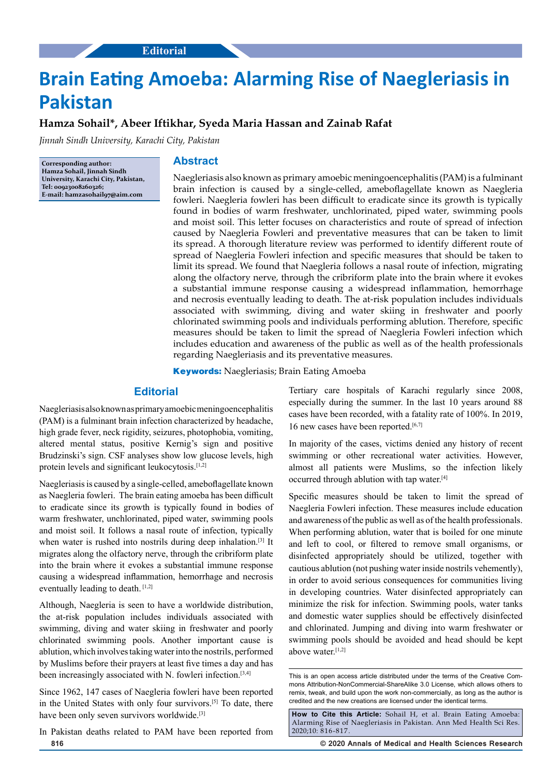# **Brain Eating Amoeba: Alarming Rise of Naegleriasis in Pakistan**

## **Hamza Sohail\*, Abeer Iftikhar, Syeda Maria Hassan and Zainab Rafat**

*Jinnah Sindh University, Karachi City, Pakistan*

**Corresponding author: Hamza Sohail, Jinnah Sindh University, Karachi City, Pakistan, Tel: 00923008260326; E-mail: hamzasohail97@aim.com**

#### **Abstract**

Naegleriasis also known as primary amoebic meningoencephalitis (PAM) is a fulminant brain infection is caused by a single-celled, ameboflagellate known as Naegleria fowleri. Naegleria fowleri has been difficult to eradicate since its growth is typically found in bodies of warm freshwater, unchlorinated, piped water, swimming pools and moist soil. This letter focuses on characteristics and route of spread of infection caused by Naegleria Fowleri and preventative measures that can be taken to limit its spread. A thorough literature review was performed to identify different route of spread of Naegleria Fowleri infection and specific measures that should be taken to limit its spread. We found that Naegleria follows a nasal route of infection, migrating along the olfactory nerve, through the cribriform plate into the brain where it evokes a substantial immune response causing a widespread inflammation, hemorrhage and necrosis eventually leading to death. The at-risk population includes individuals associated with swimming, diving and water skiing in freshwater and poorly chlorinated swimming pools and individuals performing ablution. Therefore, specific measures should be taken to limit the spread of Naegleria Fowleri infection which includes education and awareness of the public as well as of the health professionals regarding Naegleriasis and its preventative measures.

**Keywords:** Naegleriasis; Brain Eating Amoeba

## **Editorial**

Naegleriasis also known as primary amoebic meningoencephalitis (PAM) is a fulminant brain infection characterized by headache, high grade fever, neck rigidity, seizures, photophobia, vomiting, altered mental status, positive Kernig's sign and positive Brudzinski's sign. CSF analyses show low glucose levels, high protein levels and significant leukocytosis.[1,2]

Naegleriasis is caused by a single-celled, ameboflagellate known as Naegleria fowleri. The brain eating amoeba has been difficult to eradicate since its growth is typically found in bodies of warm freshwater, unchlorinated, piped water, swimming pools and moist soil. It follows a nasal route of infection, typically when water is rushed into nostrils during deep inhalation.<sup>[3]</sup> It migrates along the olfactory nerve, through the cribriform plate into the brain where it evokes a substantial immune response causing a widespread inflammation, hemorrhage and necrosis eventually leading to death. [1,2]

Although, Naegleria is seen to have a worldwide distribution, the at-risk population includes individuals associated with swimming, diving and water skiing in freshwater and poorly chlorinated swimming pools. Another important cause is ablution, which involves taking water into the nostrils, performed by Muslims before their prayers at least five times a day and has been increasingly associated with N. fowleri infection.<sup>[3,4]</sup>

Since 1962, 147 cases of Naegleria fowleri have been reported in the United States with only four survivors.[5] To date, there have been only seven survivors worldwide.<sup>[3]</sup>

**816 © 2020 Annals of Medical and Health Sciences Research**  In Pakistan deaths related to PAM have been reported from

Tertiary care hospitals of Karachi regularly since 2008, especially during the summer. In the last 10 years around 88 cases have been recorded, with a fatality rate of 100%. In 2019, 16 new cases have been reported.<sup>[6,7]</sup>

In majority of the cases, victims denied any history of recent swimming or other recreational water activities. However, almost all patients were Muslims, so the infection likely occurred through ablution with tap water.[4]

Specific measures should be taken to limit the spread of Naegleria Fowleri infection. These measures include education and awareness of the public as well as of the health professionals. When performing ablution, water that is boiled for one minute and left to cool, or filtered to remove small organisms, or disinfected appropriately should be utilized, together with cautious ablution (not pushing water inside nostrils vehemently), in order to avoid serious consequences for communities living in developing countries. Water disinfected appropriately can minimize the risk for infection. Swimming pools, water tanks and domestic water supplies should be effectively disinfected and chlorinated. Jumping and diving into warm freshwater or swimming pools should be avoided and head should be kept above water.[1,2]

**How to Cite this Article:** Sohail H, et al. Brain Eating Amoeba: Alarming Rise of Naegleriasis in Pakistan. Ann Med Health Sci Res. 2020;10: 816-817.

This is an open access article distributed under the terms of the Creative Commons Attribution‑NonCommercial‑ShareAlike 3.0 License, which allows others to remix, tweak, and build upon the work non‑commercially, as long as the author is credited and the new creations are licensed under the identical terms.